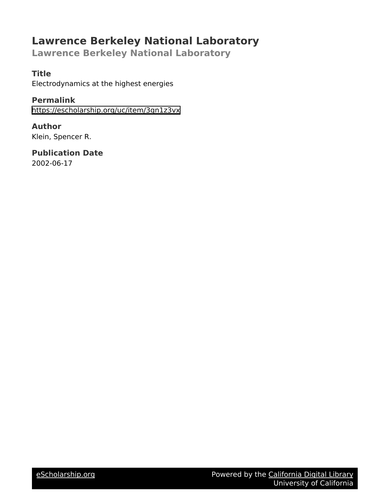# **Lawrence Berkeley National Laboratory**

**Lawrence Berkeley National Laboratory**

## **Title**

Electrodynamics at the highest energies

**Permalink** <https://escholarship.org/uc/item/3gn1z3vx>

**Author** Klein, Spencer R.

**Publication Date** 2002-06-17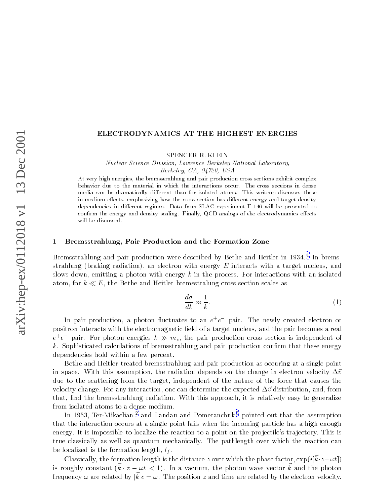## ELECTRODYNAMICS AT THE HIGHEST ENERGIES

SPENCER R. KLEIN

Nuclear Science Division, Lawrence Berkeley National Laboratory, Berkeley, CA, 94720, USA

At very high energies, the bremsstrahlung and pair production cross sections exhibit complex behavior due to the material in which the interactions occur. The cross sections in dense media can be dramatically different than for isolated atoms. This writeup discusses these in-medium effects, emphasizing how the cross section has different energy and target density dependencies in different regimes. Data from SLAC experiment E-146 will be presented to confirm the energy and density scaling. Finally, QCD analogs of the electrodynamics effects will be discussed.

#### Bremsstrahlung, Pair Production and the Formation Zone  $\mathbf{1}$

Bremsstrahlung and pair production were described by Bethe and Heitler in 1934.<sup>1</sup> In bremsstrahlung (braking radiation), an electron with energy  $E$  interacts with a target nucleus, and slows down, emitting a photon with energy  $k$  in the process. For interactions with an isolated atom, for  $k \ll E$ , the Bethe and Heitler bremsstralung cross section scales as

$$
\frac{d\sigma}{dk} \approx \frac{1}{k}.\tag{1}
$$

In pair production, a photon fluctuates to an  $e^+e^-$  pair. The newly created electron or positron interacts with the electromagnetic field of a target nucleus, and the pair becomes a real  $e^+e^-$  pair. For photon energies  $k \gg m_e$ , the pair production cross section is independent of k. Sophisticated calculations of bremsstrahlung and pair production confirm that these energy dependencies hold within a few percent.

Bethe and Heitler treated bremsstrahlung and pair production as occuring at a single point in space. With this assumption, the radiation depends on the change in electron velocity  $\Delta \vec{v}$ due to the scattering from the target, independent of the nature of the force that causes the velocity change. For any interaction, one can determine the expected  $\Delta \vec{v}$  distribution, and, from that, find the bremsstrahlung radiation. With this approach, it is relatively easy to generalize from isolated atoms to a dense medium.

In 1953, Ter-Mikaelian<sup>2</sup> and Landau and Pomeranchuk<sup>3</sup> pointed out that the assumption that the interaction occurs at a single point fails when the incoming particle has a high enough energy. It is impossible to localize the reaction to a point on the projectile's trajectory. This is true classically as well as quantum mechanically. The pathlength over which the reaction can be localized is the formation length,  $l_f$ .

Classically, the formation length is the distance z over which the phase factor,  $\exp(i[\vec{k}\cdot z-\omega t])$ is roughly constant  $(\vec{k} \cdot z - \omega t < 1)$ . In a vacuum, the photon wave vector  $\vec{k}$  and the photon frequency  $\omega$  are related by  $|\vec{k}|c=\omega$ . The position z and time are related by the electron velocity.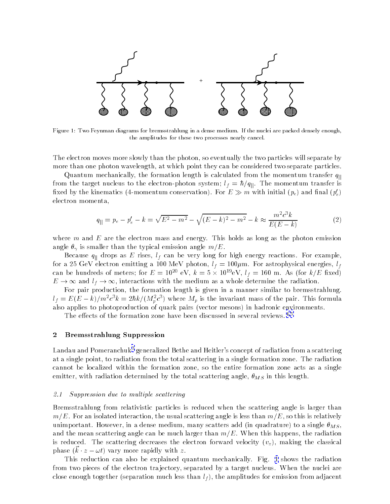

Figure 1: Two Feynman diagrams for bremsstrahlung in a dense medium. If the nuclei are packed densely enough, the amplitudes for these two processes nearly cancel.

The electron moves more slowly than the photon, so eventually the two particles will separate by more than one photon wavelength, at which point they can be considered two separate particles.

Quantum mechanically, the formation length is calculated from the momentum transfer  $q_{\parallel}$ from the target nucleus to the electron-photon system;  $l_f = \hbar/q_{\parallel}$ . The momentum transfer is fixed by the kinematics (4-momentum conservation). For  $E \gg m$  with initial  $(p_e)$  and final  $(p'_e)$ electron momenta.

$$
q_{\parallel} = p_e - p'_e - k = \sqrt{E^2 - m^2} - \sqrt{(E - k)^2 - m^2} - k \approx \frac{m^2 c^3 k}{E(E - k)}
$$
(2)

where  $m$  and  $E$  are the electron mass and energy. This holds as long as the photon emission angle  $\theta_{\gamma}$  is smaller than the typical emission angle  $m/E$ .

Because  $q_{\parallel}$  drops as E rises,  $l_f$  can be very long for high energy reactions. For example, for a 25 GeV electron emitting a 100 MeV photon,  $l_f = 100 \mu$ m. For astrophysical energies,  $l_f$ can be hundreds of meters; for  $E = 10^{20}$  eV,  $k = 5 \times 10^{19}$ eV,  $l_f = 160$  m. As (for k/E fixed)  $E \to \infty$  and  $l_f \to \infty$ , interactions with the medium as a whole determine the radiation.

For pair production, the formation length is given in a manner similar to bremsstrahlung.  $l_f = E(E-k)/m^2c^3k = 2\hbar k/(M_p^2c^3)$  where  $M_p$  is the invariant mass of the pair. This formula also applies to photoproduction of quark pairs (vector mesons) in hadronic environments.

The effects of the formation zone have been discussed in several reviews.<sup>4,5</sup>

#### $\overline{2}$ **Bremsstrahlung Suppression**

Landau and Pomeranchuk<sup>3</sup> generalized Bethe and Heitler's concept of radiation from a scattering at a single point, to radiation from the total scattering in a single formation zone. The radiation cannot be localized within the formation zone, so the entire formation zone acts as a single emitter, with radiation determined by the total scattering angle,  $\theta_{MS}$  in this length.

#### $2.1$ Suppression due to multiple scattering

Bremsstrahlung from relativistic particles is reduced when the scattering angle is larger than  $m/E$ . For an isolated interaction, the usual scattering angle is less than  $m/E$ , so this is relatively unimportant. However, in a dense medium, many scatters add (in quadrature) to a single  $\theta_{MS}$ , and the mean scattering angle can be much larger than  $m/E$ . When this happens, the radiation is reduced. The scattering decreases the electron forward velocity  $(v_z)$ , making the classical phase  $(k \cdot z - \omega t)$  vary more rapidly with z.

This reduction can also be explained quantum mechanically. Fig. 1 shows the radiation from two pieces of the electron trajectory, separated by a target nucleus. When the nuclei are close enough together (separation much less than  $l_f$ ), the amplitudes for emission from adjacent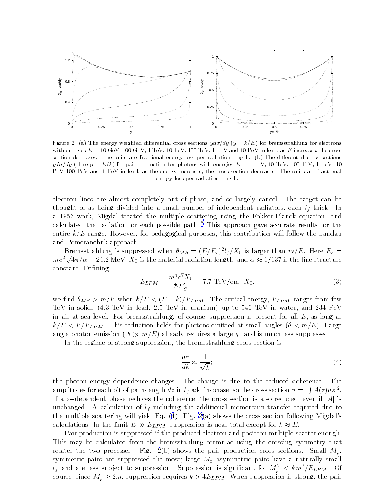

Figure 2: (a) The energy weighted differential cross sections  $y d\sigma/dy$  ( $y = k/E$ ) for bremsstrahlung for electrons with energies  $E = 10 \text{ GeV}$ , 100 GeV, 1 TeV, 10 TeV, 100 TeV, 1 PeV and 10 PeV in lead; as E increases, the cross section decreases. The units are fractional energy loss per radiation length. (b) The differential cross sections  $y d\sigma/dy$  (Here  $y = E/k$ ) for pair production for photons with energies  $E = 1$  TeV, 10 TeV, 100 TeV, 1 PeV, 10 PeV 100 PeV and 1 EeV in lead; as the energy increases, the cross section decreases. The units are fractional energy loss per radiation length.

electron lines are almost completely out of phase, and so largely cancel. The target can be thought of as being divided into a small number of independent radiators, each  $l_f$  thick. In a 1956 work, Migdal treated the multiple scattering using the Fokker-Planck equation, and calculated the radiation for each possible path.<sup>6</sup> This approach gave accurate results for the entire  $k/E$  range. However, for pedagogical purposes, this contribution will follow the Landau and Pomeranchuk approach.

Bremsstrahlung is suppressed when  $\theta_{MS} = (E/E_s)^2 l_f/X_0$  is larger than  $m/E$ . Here  $E_s =$  $mc^2\sqrt{4\pi/\alpha} = 21.2$  MeV,  $X_0$  is the material radiation length, and  $\alpha \approx 1/137$  is the fine structure constant. Defining

$$
E_{LPM} = \frac{m^4 c^7 X_0}{\hbar E_S^2} = 7.7 \text{ TeV/cm} \cdot X_0,
$$
\n(3)

we find  $\theta_{MS} > m/E$  when  $k/E < (E-k)/E_{LPM}$ . The critical energy,  $E_{LPM}$  ranges from few TeV in solids (4.3 TeV in lead, 2.5 TeV in uranium) up to 540 TeV in water, and 234 PeV in air at sea level. For bremsstrahlung, of course, suppression is present for all  $E$ , as long as  $k/E < E/E_{LPM}$ . This reduction holds for photons emitted at small angles  $(\theta < m/E)$ . Large angle photon emission ( $\theta \gg m/E$ ) already requires a large  $q_{\parallel}$  and is much less suppressed.

In the regime of strong suppression, the bremsstrahlung cross section is

$$
\frac{d\sigma}{dk} \approx \frac{1}{\sqrt{k}};\tag{4}
$$

the photon energy dependence changes. The change is due to the reduced coherence. The amplitudes for each bit of path-length dz in  $l_f$  add in-phase, so the cross section  $\sigma = \int \int A(z) dz|^2$ . If a z-dependent phase reduces the coherence, the cross section is also reduced, even if |A| is unchanged. A calculation of  $l_f$  including the additional momentum transfer required due to the multiple scattering will yield Eq.  $(4)$ . Fig.  $2(a)$  shows the cross section following Migdal's calculations. In the limit  $E \gg E_{LPM}$ , suppression is near total except for  $k \approx E$ .

Pair production is suppressed if the produced electron and positron multiple scatter enough. This may be calculated from the bremsstahlung formulae using the crossing symmetry that relates the two processes. Fig. 2(b) shows the pair production cross sections. Small  $M_p$ , symmetric pairs are suppressed the most; large  $M_p$  asymmetric pairs have a naturally small  $l_f$  and are less subject to suppression. Suppression is significant for  $M_p^2 < km^2/E_{LPM}$ . Of course, since  $M_p \ge 2m$ , suppression requires  $k > 4E_{LPM}$ . When suppression is strong, the pair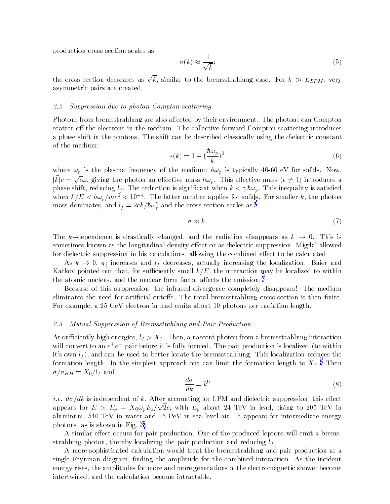production cross section scales as

$$
\sigma(k) \approx \frac{1}{\sqrt{k}};\tag{5}
$$

the cross section decreases as  $\sqrt{k}$ , similar to the bremsstrahlung case. For  $k \gg E_{LPM}$ , very asymmetric pairs are created.

#### 2.2 Suppression due to photon Compton scattering

Photons from bremsstrahlung are also affected by their environment. The photons can Compton scatter off the electrons in the medium. The collective forward Compton scattering introduces a phase shift in the photons. The shift can be described classically using the dielectric constant of the medium:

$$
\epsilon(k) = 1 - \left(\frac{\hbar \omega_p}{k}\right)^2 \tag{6}
$$

where  $\omega_p$  is the plasma frequency of the medium;  $\hbar\omega_p$  is typically 40-60 eV for solids. Now,  $|k|c = \sqrt{\epsilon} \omega$ , giving the photon an effective mass  $\hbar \omega_p$ . This effective mass  $(\epsilon \neq 1)$  introduces a phase shift, reducing  $l_f$ . The reduction is significant when  $k < \gamma \hbar \omega_p$ . This inequality is satisfied when  $k/E < \hbar \omega_p / mc^2 \approx 10^{-4}$ . The latter number applies for solids. For smaller k, the photon mass dominates, and  $l_f = 2ck/\hbar\omega_p^2$  and the cross section scales as <sup>4</sup>

$$
\sigma \approx k. \tag{7}
$$

The k-dependence is drastically changed, and the radiation disappears as  $k \to 0$ . This is sometimes known as the longitudinal density effect or as dielectric suppression. Migdal allowed for dielectric suppression in his calculations, allowing the combined effect to be calculated

As  $k \to 0$ ,  $q_{\parallel}$  increases and  $l_f$  decreases, actually increasing the localization. Baier and Katkov pointed out that, for sufficiently small  $k/E$ , the interaction may be localized to within the atomic nucleus, and the nuclear form factor affects the emission.<sup>7</sup>

Because of this suppression, the infrared divergence completely disappears! The medium eliminates the need for artificial cutoffs. The total bremsstrahlung cross section is then finite. For example, a 25 GeV electron in lead emits about 10 photons per radiation length.

#### $2.3$ Mutual Suppression of Bremsstrahlung and Pair Production

At sufficiently high energies,  $l_f > X_0$ . Then, a nascent photon from a bremsstrahlung interaction will convert to an  $e^+e^-$  pair before it is fully formed. The pair production is localized (to within it's own  $l_f$ ), and can be used to better locate the bremsstrahlung. This localization reduces the formation length. In the simplest approach one can limit the formation length to  $X_0$ .<sup>8</sup> Then  $\sigma/\sigma_{BH}=X_0/l_f$  and

$$
\frac{d\sigma}{dk} = k^0 \tag{8}
$$

i.e.  $d\sigma/dk$  is independent of k. After accounting for LPM and dielectric suppression, this effect appears for  $E > E_p = X_0 \omega_p E_s / \sqrt{2}c$ , with  $E_p$  about 24 TeV in lead, rising to 205 TeV in aluminum, 540 TeV in water and 15 PeV in sea level air. It appears for intermediate energy photons, as is shown in Fig. 3.

A similar effect occurs for pair production. One of the produced leptons will emit a bremsstrahlung photon, thereby localizing the pair production and reducing  $l_f$ .

A more sophisticated calculation would treat the bremsstrahlung and pair production as a single Feynman diagram, finding the amplitude for the combined interaction. As the incident energy rises, the amplitudes for more and more generations of the electromagnetic shower become intertwined, and the calculation become intractable.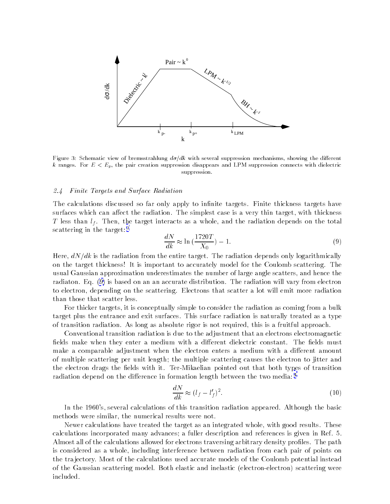<span id="page-5-0"></span>

Figure 3: Schematic view of bremsstrahlung  $d\sigma/dk$  with several suppression mechanisms, showing the different k ranges. For  $E < E_p$ , the pair creation suppression disappears and LPM suppression connects with dielectric suppression.

#### *Finite Targets and Surface Radiation*  $2.4$

The calculations discussed so far only apply to infinite targets. Finite thickness targets have surfaces which can affect the radiation. The simplest case is a very thin target, with thickness T less than  $l_f$ . Then, the target interacts as a whole, and the radiation depends on the total scattering in the target:<sup>9</sup>

$$
\frac{dN}{dk} \approx \ln\left(\frac{1720T}{X_0}\right) - 1.\tag{9}
$$

Here,  $dN/dk$  is the radiation from the entire target. The radiation depends only logarithmically on the target thickness! It is important to accurately model for the Coulomb scattering. The usual Gaussian approximation underestimates the number of large angle scatters, and hence the radiaton. Eq. (9) is based on an an accurate distribution. The radiation will vary from electron to electron, depending on the scattering. Electrons that scatter a lot will emit more radiation than those that scatter less.

For thicker targets, it is conceptually simple to consider the radiation as coming from a bulk target plus the entrance and exit surfaces. This surface radiation is naturally treated as a type of transition radiation. As long as absolute rigor is not required, this is a fruitful approach.

Conventional transition radiation is due to the adjustment that an electrons electromagnetic fields make when they enter a medium with a different dielectric constant. The fields must make a comparable adjustment when the electron enters a medium with a different amount of multiple scattering per unit length; the multiple scattering causes the electron to jitter and the electron drags the fields with it. Ter-Mikaelian pointed out that both types of transition radiation depend on the difference in formation length between the two media:<sup>4</sup>

$$
\frac{dN}{dk} \approx (l_f - l'_f)^2. \tag{10}
$$

In the 1960's, several calculations of this transition radiation appeared. Although the basic methods were similar, the numerical results were not.

Newer calculations have treated the target as an integrated whole, with good results. These calculations incorporated many advances; a fuller description and references is given in Ref. 5. Almost all of the calculations allowed for electrons traversing arbitrary density profiles. The path is considered as a whole, including interference between radiation from each pair of points on the trajectory. Most of the calculations used accurate models of the Coulomb potential instead of the Gaussian scattering model. Both elastic and inelastic (electron-electron) scattering were included.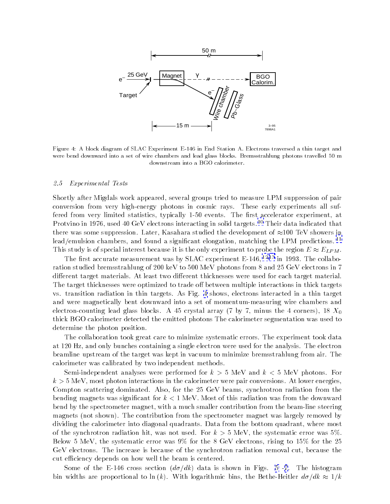

Figure 4: A block diagram of SLAC Experiment E-146 in End Station A. Electrons traversed a thin target and were bend downward into a set of wire chambers and lead glass blocks. Bremsstrahlung photons travelled 50 m downstream into a BGO calorimeter.

#### 2.5 *Experimental Tests*

Shortly after Migdals work appeared, several groups tried to measure LPM suppression of pair conversion from very high-energy photons in cosmic rays. These early experiments all suffered from very limited statistics, typically 1-50 events. The first accelerator experiment, at Protvino in 1976, used 40 GeV electrons interacting in solid targets.<sup>10</sup> Their data indicated that there was some suppression. Later, Kasahara studied the development of  $\approx 100$  TeV showers in lead/emulsion chambers, and found a significant elongation, matching the LPM predictions.<sup>11</sup> This study is of special interest because it is the only experiment to probe the region  $E \approx E_{LPM}$ .

The first accurate measurement was by SLAC experiment E-146,  $12,13$  in 1993. The collaboration studied bremsstrahlung of 200 keV to 500 MeV photons from 8 and 25 GeV electrons in 7 different target materials. At least two different thicknesses were used for each target material. The target thicknesses were optimized to trade off between multiple interactions in thick targets vs. transition radiation in thin targets. As Fig. 4 shows, electrons interacted in a thin target and were magnetically bent downward into a set of momentum-measuring wire chambers and electron-counting lead glass blocks. A 45 crystal array (7 by 7, minus the 4 corners), 18  $X_0$ thick BGO calorimeter detected the emitted photons The calorimeter segmentation was used to determine the photon position.

The collaboration took great care to minimize systematic errors. The experiment took data at 120 Hz, and only bunches containing a single electron were used for the analysis. The electron beamline upstream of the target was kept in vacuum to minimize bremsstrahlung from air. The calorimeter was calibrated by two independent methods.

Semi-independent analyses were performed for  $k > 5$  MeV and  $k < 5$  MeV photons. For  $k > 5$  MeV, most photon interactions in the calorimeter were pair conversions. At lower energies. Compton scattering dominated. Also, for the 25 GeV beams, synchrotron radiation from the bending magnets was significant for  $k < 1$  MeV. Most of this radiation was from the downward bend by the spectrometer magnet, with a much smaller contribution from the beam-line steering magnets (not shown). The contribution from the spectrometer magnet was largely removed by dividing the calorimeter into diagonal quadrants. Data from the bottom quadrant, where most of the synchrotron radiation hit, was not used. For  $k > 5$  MeV, the systematic error was 5%. Below 5 MeV, the systematic error was  $9\%$  for the 8 GeV electrons, rising to 15% for the 25 GeV electrons. The increase is because of the synchrotron radiation removal cut, because the cut efficiency depends on how well the beam is centered.

Some of the E-146 cross section  $(d\sigma/dk)$  data is shown in Figs. 5-7. The histogram bin widths are proportional to ln (k). With logarithmic bins, the Bethe-Heitler  $d\sigma/dk \approx 1/k$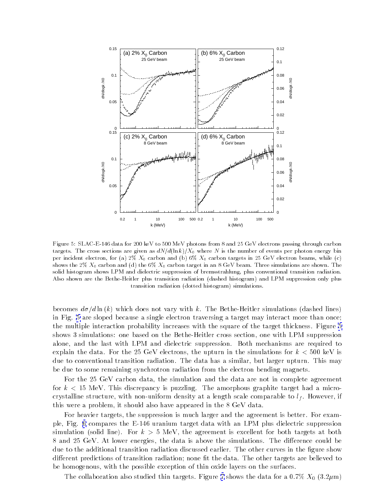<span id="page-7-0"></span>

 $\mathbf{a}$  ,  $\mathbf{a}$  ,  $\mathbf{a}$  ,  $\mathbf{a}$  ,  $\mathbf{a}$  ,  $\mathbf{a}$  ,  $\mathbf{a}$  ,  $\mathbf{a}$  ,  $\mathbf{a}$  ,  $\mathbf{a}$  ,  $\mathbf{a}$  ,  $\mathbf{a}$  ,  $\mathbf{a}$  ,  $\mathbf{a}$  ,  $\mathbf{a}$  ,  $\mathbf{a}$  ,  $\mathbf{a}$  ,  $\mathbf{a}$  ,  $\mathbf{a}$  ,  $\mathbf{a}$  ,  $\alpha$  , and the second to the second of  $\alpha$  . The second  $\alpha$  is the second of  $\alpha$  is the second of  $\alpha$  is the second of  $\alpha$ per increasing erectricity, for  $(a) = a$ ,  $a + b$  and  $b$  and  $b$  of  $a$ ,  $b$  and  $b$  and  $c$  and  $c$  and  $c$  are  $c$  . Then  $c$  is a set of  $c$  and  $c$  and  $c$  and  $c$  and  $c$  and  $c$  and  $c$  and  $c$  and  $c$  and  $c$  and  $c$   $\sim$  , and  $\sim$  ,  $\sim$  ,  $\sim$  ,  $\sim$   $\sim$  ,  $\sim$  ,  $\sim$  ,  $\sim$  ,  $\sim$  ,  $\sim$  ,  $\sim$  ,  $\sim$  ,  $\sim$  ,  $\sim$  ,  $\sim$  ,  $\sim$  ,  $\sim$  ,  $\sim$  ,  $\sim$  ,  $\sim$  ,  $\sim$  ,  $\sim$  ,  $\sim$  ,  $\sim$  ,  $\sim$  ,  $\sim$  ,  $\sim$  ,  $\sim$  ,  $\sim$  ,  $\sim$  ,  $\$ cond modern and a measure where the control of procedure of the context of press controlled to control received rnes enough and enough frencher practice at anticipation radiomatic metrical and the exploration of the practic u unsigion i uunuolon (uotteen mistogrami) siinungelons.

becomes  $a\sigma/a$  in  $(\kappa)$  which does not vary with  $\kappa$ . The Bethe-Heitler simulations (dashed lines) in Fig. 5 are sloped because a single electron traversing a target may interact more than once; - 
- - 
 -- - 1 - ! - - - - + D - - - ---- - - -., 

-  $\blacksquare$  . The contract of the contract of the contract of the contract of the contract of the contract of the contract of the contract of the contract of the contract of the contract of the contract of the contract of the  $\alpha$ ,  $\beta$ ,  $\alpha$ ,  $\beta$ ,  $\beta$ ,  $\beta$ ,  $\beta$ ,  $\beta$ ,  $\beta$ ,  $\beta$ ,  $\beta$ ,  $\beta$ ,  $\beta$ ,  $\beta$ ,  $\beta$ ,  $\beta$ ,  $\beta$ ,  $\beta$ ,  $\beta$ ,  $\beta$ ,  $\beta$ ,  $\beta$ ,  $\beta$ ,  $\beta$ ,  $\beta$ ,  $\beta$ ,  $\beta$ ,  $\beta$ ,  $\beta$ ,  $\beta$ ,  $\beta$ ,  $\beta$ ,  $\beta$ ,  $\beta$ ,  $\beta$ ,  $\beta$ ,  $\beta$ , due to conventional transition radiation. The data has a similar, but larger upturn. This may  $\mathbf{A}$  . The set of  $\mathbf{A}$  is the set of  $\mathbf{A}$  is the set of  $\mathbf{A}$  is the set of  $\mathbf{A}$  is the set of  $\mathbf{A}$ 

 $\blacksquare$ For  $\kappa$   $\chi$  to he can also depend to paraming. The emorphous graphice can get mea a micro crystalline structure, with non-uniform density at a length scale comparable to  $\iota_f$ . However, if this were a problem, it should also have appeared in the 8 GeV data.  $\blacksquare$ 

For neavier targets, the suppression is much larger and the agreement is better. For exam-- [=](#page-8-0) 
- - B= -  -., 
 -- 

-  $\sim$  ,  $\sim$  ,  $\sim$  ,  $\sim$  ,  $\sim$  ,  $\sim$  ,  $\sim$  ,  $\sim$  ,  $\sim$  ,  $\sim$  ,  $\sim$  ,  $\sim$  ,  $\sim$  ,  $\sim$  ,  $\sim$  ,  $\sim$  ,  $\sim$  ,  $\sim$  ,  $\sim$  ,  $\sim$  ,  $\sim$  ,  $\sim$  ,  $\sim$  ,  $\sim$  ,  $\sim$  ,  $\sim$  ,  $\sim$  ,  $\sim$  ,  $\sim$  ,  $\sim$  ,  $\sim$  ,  $\sim$  $8$  and 25 GeV. At lower energies, the data is above the simulations. The difference could be due to the additional transition radiation discussed earlier. The other curves in the figure show different predictions of transition radiation; none ht the data. The other targets are believed to  $\;$ - - - 
- -)- ! )- - - !-

are contracted that are most complete and the contract of the state of the state  $\sim$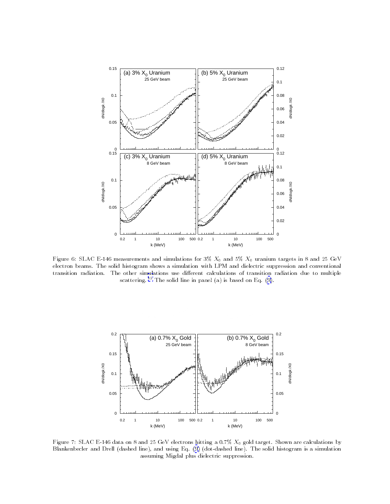<span id="page-8-0"></span>

 $\mathbf{r}$  is a set of the momentum of the simulation in  $\mathcal{S}/\mathcal{S}$  . The anti-  $\mathcal{S}/\mathcal{S}$  is an anti-  $\mathcal{S}$  on  $\mathcal{S}$  . erection counts. The song mosqram shows a simulation in the Li and dictestife suppression and conventant to aranceaeraamaanii The Adres annumanum act annum and annumanum or aranceae raamaanii aan oo meediyo scattering.The solid line in panel (a) is based on Eq. (9).



 $\mathbf{r}$  is a set of  $\mathbf{r}$  . The case of  $\mathbf{r}$  of  $\mathbf{r}$  is the modify a strip for our set of  $\mathbf{r}$  and  $\mathbf{r}$  and  $\mathbf{r}$  and  $\mathbf{r}$  and  $\mathbf{r}$  and  $\mathbf{r}$  and  $\mathbf{r}$  and  $\mathbf{r}$  and  $\mathbf{r}$  and  $\$ 7 \*  , - !< [,=](#page-5-0)- , dood ming miguur pius dicicevire suppression.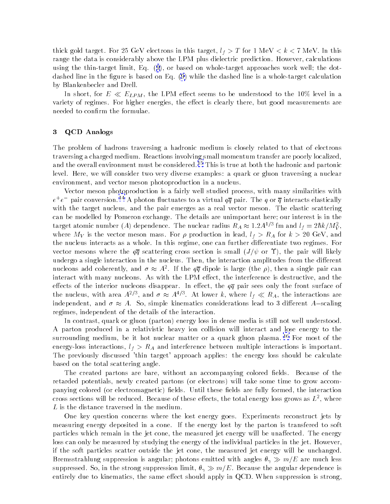thick gold target. For 25 GeV electrons in this target,  $l_f > T$  for 1 MeV  $\lt k \lt 7$  MeV. In this range the data is considerably above the LPM plus dielectric prediction. However, calculations using the thin-target limit, Eq. (9), or based on whole-target approaches work well; the dotdashed line in the figure is based on Eq. (9) while the dashed line is a whole-target calculation by Blankenbecler and Drell.

In short, for  $E \ll E_{LPM}$ , the LPM effect seems to be understood to the 10% level in a variety of regimes. For higher energies, the effect is clearly there, but good measurements are needed to confirm the formulae.

#### 3 **QCD** Analogs

The problem of hadrons traversing a hadronic medium is closely related to that of electrons traversing a charged medium. Reactions involving small momentum transfer are poorly localized, and the overall environment must be considered. <sup>15</sup> This is true at both the hadronic and partonic level. Here, we will consider two very diverse examples: a quark or gluon traversing a nuclear environment, and vector meson photoproduction in a nucleus.

Vector meson photoproduction is a fairly well studied process, with many similarities with  $e^+e^-$  pair conversion.<sup>14</sup> A photon fluctuates to a virtual  $q\overline{q}$  pair. The q or  $\overline{q}$  interacts elastically with the target nucleus, and the pair emerges as a real vector meson. The elastic scattering can be modelled by Pomeron exchange. The details are unimportant here; our interest is in the target atomic number (A) dependence. The nuclear radius  $R_A \approx 1.2 A^{1/3}$  fm and  $l_f = 2\hbar k/M_V^2$ , where  $M_V$  is the vector meson mass. For  $\rho$  production in lead,  $l_f > R_A$  for  $k > 20$  GeV, and the nucleus interacts as a whole. In this regime, one can further differentiate two regimes. For vector mesons where the  $q\bar{q}$  scattering cross section is small  $(J/\psi \text{ or } \Upsilon)$ , the pair will likely undergo a single interaction in the nucleus. Then, the interaction amplitudes from the different nucleons add coherently, and  $\sigma \approx A^2$ . If the  $q\overline{q}$  dipole is large (the  $\rho$ ), then a single pair can interact with many nucleons. As with the LPM effect, the interference is destructive, and the effects of the interior nucleons disappear. In effect, the  $q\overline{q}$  pair sees only the front surface of the nucleus, with area  $A^{2/3}$ , and  $\sigma \approx A^{4/3}$ . At lower k, where  $l_f \ll R_A$ , the interactions are independent, and  $\sigma \approx A$ . So, simple kinematics considerations lead to 3 different A-scaling regimes, independent of the details of the interaction.

In contrast, quark or gluon (parton) energy loss in dense media is still not well understood. A parton produced in a relativistic heavy ion collision will interact and lose energy to the surrounding medium, be it hot nuclear matter or a quark gluon plasma. <sup>16</sup> For most of the energy-loss interactions,  $l_f > R_A$  and interference between multiple interactions is important. The previously discussed 'thin target' approach applies: the energy loss should be calculate based on the total scattering angle.

The created partons are bare, without an accompanying colored fields. Because of the retarded potentials, newly created partons (or electrons) will take some time to grow accompanying colored (or electromagnetic) fields. Until these fields are fully formed, the interaction cross sections will be reduced. Because of these effects, the total energy loss grows as  $L^2$ , where L is the distance traversed in the medium.

One key question concerns where the lost energy goes. Experiments reconstruct jets by measuring energy deposited in a cone. If the energy lost by the parton is transfered to soft particles which remain in the jet cone, the measured jet energy will be unaffected. The energy loss can only be measured by studying the energy of the individual particles in the jet. However, if the soft particles scatter outside the jet cone, the measured jet energy will be unchanged. Bremsstrahlung suppression is angular; photons emitted with angles  $\theta_{\gamma} \gg m/E$  are much less suppressed. So, in the strong suppression limit,  $\theta_{\gamma} \gg m/E$ . Because the angular dependence is entirely due to kinematics, the same effect should apply in QCD. When suppression is strong,